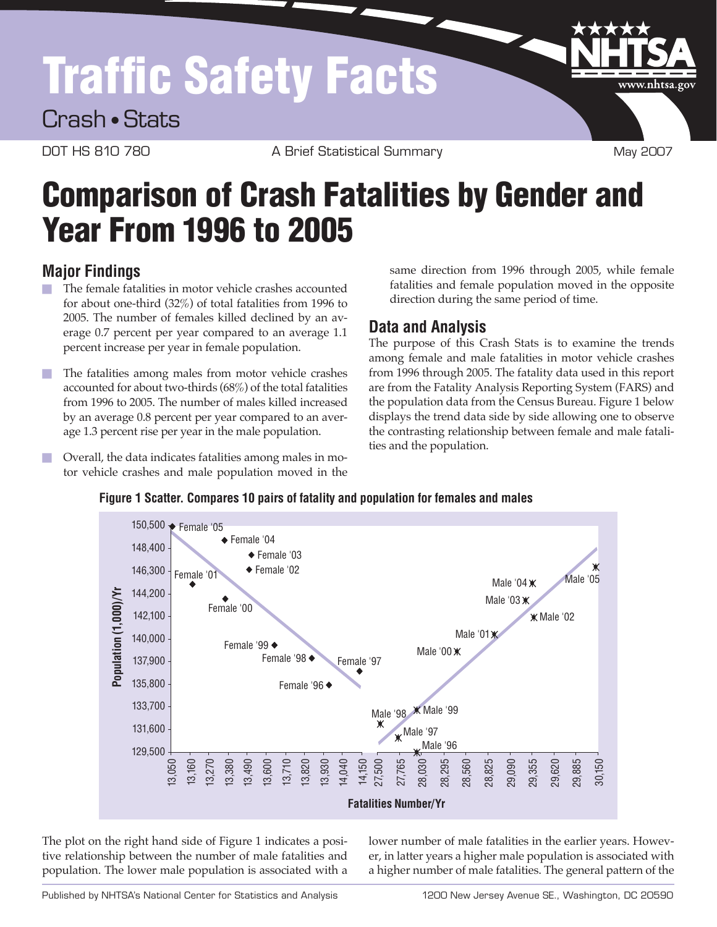# Traffic Safety Facts

Crash • Stats

DOT HS 810 780 A Brief Statistical Summary May 2007

www.nhtsa.gov

## Comparison of Crash Fatalities by Gender and Year From 1996 to 2005

### **Major Findings**

- $\blacksquare$  The female fatalities in motor vehicle crashes accounted for about one-third (32%) of total fatalities from 1996 to 2005. The number of females killed declined by an average 0.7 percent per year compared to an average 1.1 percent increase per year in female population.
- $\blacksquare$  The fatalities among males from motor vehicle crashes accounted for about two-thirds (68%) of the total fatalities from 1996 to 2005. The number of males killed increased by an average 0.8 percent per year compared to an average 1.3 percent rise per year in the male population.
- $\Box$  Overall, the data indicates fatalities among males in motor vehicle crashes and male population moved in the

same direction from 1996 through 2005, while female fatalities and female population moved in the opposite direction during the same period of time.

### **Data and Analysis**

The purpose of this Crash Stats is to examine the trends among female and male fatalities in motor vehicle crashes from 1996 through 2005. The fatality data used in this report are from the Fatality Analysis Reporting System (FARS) and the population data from the Census Bureau. Figure 1 below displays the trend data side by side allowing one to observe the contrasting relationship between female and male fatalities and the population.



The plot on the right hand side of Figure 1 indicates a positive relationship between the number of male fatalities and population. The lower male population is associated with a lower number of male fatalities in the earlier years. However, in latter years a higher male population is associated with a higher number of male fatalities. The general pattern of the

**Figure 1 Scatter. Compares 10 pairs of fatality and population for females and males**